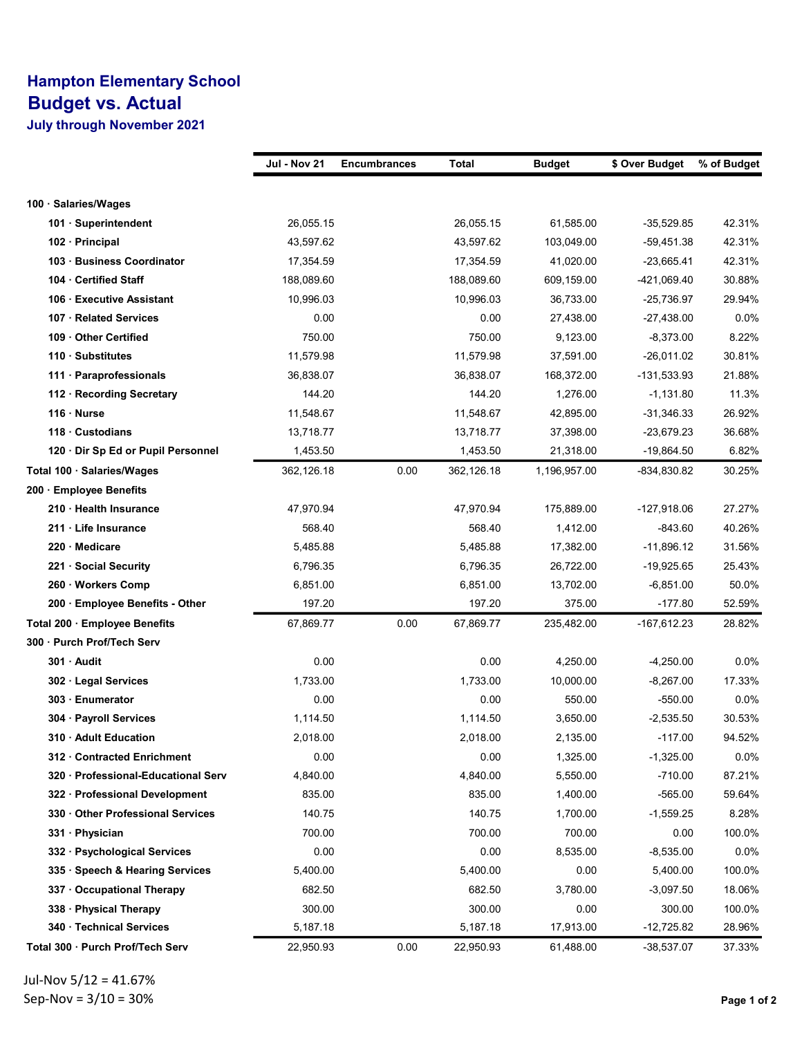## Hampton Elementary School Budget vs. Actual

July through November 2021

|                                     | Jul - Nov 21 | <b>Encumbrances</b> | Total      | <b>Budget</b> | \$ Over Budget | % of Budget |
|-------------------------------------|--------------|---------------------|------------|---------------|----------------|-------------|
|                                     |              |                     |            |               |                |             |
| 100 · Salaries/Wages                |              |                     |            |               |                |             |
| 101 · Superintendent                | 26,055.15    |                     | 26,055.15  | 61,585.00     | $-35,529.85$   | 42.31%      |
| 102 Principal                       | 43,597.62    |                     | 43,597.62  | 103,049.00    | -59,451.38     | 42.31%      |
| 103 · Business Coordinator          | 17,354.59    |                     | 17,354.59  | 41,020.00     | $-23,665.41$   | 42.31%      |
| 104 Certified Staff                 | 188,089.60   |                     | 188,089.60 | 609,159.00    | -421,069.40    | 30.88%      |
| 106 Executive Assistant             | 10,996.03    |                     | 10,996.03  | 36,733.00     | $-25,736.97$   | 29.94%      |
| 107 · Related Services              | 0.00         |                     | 0.00       | 27,438.00     | $-27,438.00$   | $0.0\%$     |
| 109 Other Certified                 | 750.00       |                     | 750.00     | 9,123.00      | -8,373.00      | 8.22%       |
| 110 · Substitutes                   | 11,579.98    |                     | 11,579.98  | 37,591.00     | -26,011.02     | 30.81%      |
| 111 · Paraprofessionals             | 36,838.07    |                     | 36,838.07  | 168,372.00    | -131,533.93    | 21.88%      |
| 112 · Recording Secretary           | 144.20       |                     | 144.20     | 1,276.00      | $-1,131.80$    | 11.3%       |
| 116 Nurse                           | 11,548.67    |                     | 11,548.67  | 42,895.00     | $-31,346.33$   | 26.92%      |
| $118 \cdot$ Custodians              | 13,718.77    |                     | 13,718.77  | 37,398.00     | $-23,679.23$   | 36.68%      |
| 120 · Dir Sp Ed or Pupil Personnel  | 1,453.50     |                     | 1,453.50   | 21,318.00     | $-19,864.50$   | 6.82%       |
| Total 100 · Salaries/Wages          | 362,126.18   | 0.00                | 362,126.18 | 1,196,957.00  | -834,830.82    | 30.25%      |
| 200 Employee Benefits               |              |                     |            |               |                |             |
| 210 · Health Insurance              | 47,970.94    |                     | 47,970.94  | 175,889.00    | $-127,918.06$  | 27.27%      |
| 211 Life Insurance                  | 568.40       |                     | 568.40     | 1,412.00      | $-843.60$      | 40.26%      |
| 220 · Medicare                      | 5,485.88     |                     | 5,485.88   | 17,382.00     | $-11,896.12$   | 31.56%      |
| 221 · Social Security               | 6,796.35     |                     | 6,796.35   | 26,722.00     | $-19,925.65$   | 25.43%      |
| 260 · Workers Comp                  | 6,851.00     |                     | 6,851.00   | 13,702.00     | $-6,851.00$    | 50.0%       |
| 200 · Employee Benefits - Other     | 197.20       |                     | 197.20     | 375.00        | $-177.80$      | 52.59%      |
| Total 200 · Employee Benefits       | 67,869.77    | 0.00                | 67,869.77  | 235,482.00    | -167,612.23    | 28.82%      |
| 300 Purch Prof/Tech Serv            |              |                     |            |               |                |             |
| 301 · Audit                         | 0.00         |                     | 0.00       | 4,250.00      | $-4,250.00$    | 0.0%        |
| 302 · Legal Services                | 1,733.00     |                     | 1,733.00   | 10,000.00     | $-8,267.00$    | 17.33%      |
| 303 Enumerator                      | 0.00         |                     | 0.00       | 550.00        | $-550.00$      | $0.0\%$     |
| 304 · Payroll Services              | 1,114.50     |                     | 1,114.50   | 3,650.00      | $-2,535.50$    | 30.53%      |
| 310 Adult Education                 | 2,018.00     |                     | 2.018.00   | 2,135.00      | $-117.00$      | 94.52%      |
| 312 Contracted Enrichment           | 0.00         |                     | 0.00       | 1,325.00      | $-1,325.00$    | 0.0%        |
| 320 · Professional-Educational Serv | 4,840.00     |                     | 4,840.00   | 5,550.00      | $-710.00$      | 87.21%      |
| 322 · Professional Development      | 835.00       |                     | 835.00     | 1,400.00      | $-565.00$      | 59.64%      |
| 330 Other Professional Services     | 140.75       |                     | 140.75     | 1,700.00      | $-1,559.25$    | 8.28%       |
| 331 Physician                       | 700.00       |                     | 700.00     | 700.00        | 0.00           | 100.0%      |
| 332 · Psychological Services        | 0.00         |                     | 0.00       | 8,535.00      | $-8,535.00$    | $0.0\%$     |
| 335 · Speech & Hearing Services     | 5,400.00     |                     | 5,400.00   | 0.00          | 5,400.00       | 100.0%      |
| 337 · Occupational Therapy          | 682.50       |                     | 682.50     | 3,780.00      | $-3,097.50$    | 18.06%      |
| 338 · Physical Therapy              | 300.00       |                     | 300.00     | 0.00          | 300.00         | 100.0%      |
| 340 · Technical Services            | 5,187.18     |                     | 5,187.18   | 17,913.00     | $-12,725.82$   | 28.96%      |
| Total 300 · Purch Prof/Tech Serv    | 22,950.93    | 0.00                | 22,950.93  | 61,488.00     | -38,537.07     | 37.33%      |